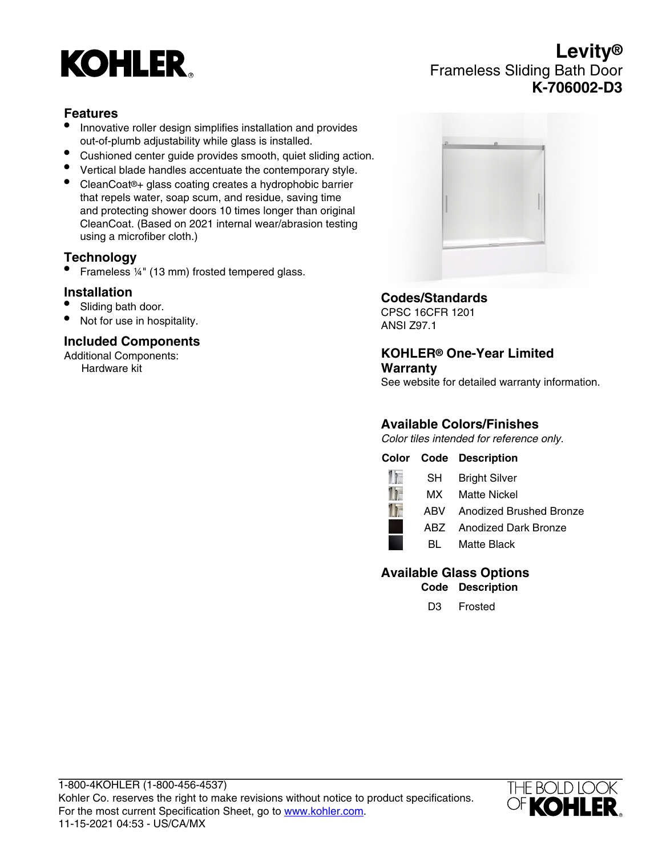

# **Levity®** Frameless Sliding Bath Door **K-706002-D3**

### **Features**

- Innovative roller design simplifies installation and provides out-of-plumb adjustability while glass is installed.
- Cushioned center guide provides smooth, quiet sliding action.
- Vertical blade handles accentuate the contemporary style.
- CleanCoat®+ glass coating creates a hydrophobic barrier that repels water, soap scum, and residue, saving time and protecting shower doors 10 times longer than original CleanCoat. (Based on 2021 internal wear/abrasion testing using a microfiber cloth.)

### **Technology**

• Frameless ¼" (13 mm) frosted tempered glass.

### **Installation**

- Sliding bath door.
- Not for use in hospitality.

### **Included Components**

Additional Components: Hardware kit



### **Codes/Standards**

CPSC 16CFR 1201 ANSI Z97.1

### **KOHLER® One-Year Limited Warranty**

See website for detailed warranty information.

### **Available Colors/Finishes**

Color tiles intended for reference only.

### **Color Code Description**



### **Available Glass Options**

**Code Description**

D3 Frosted